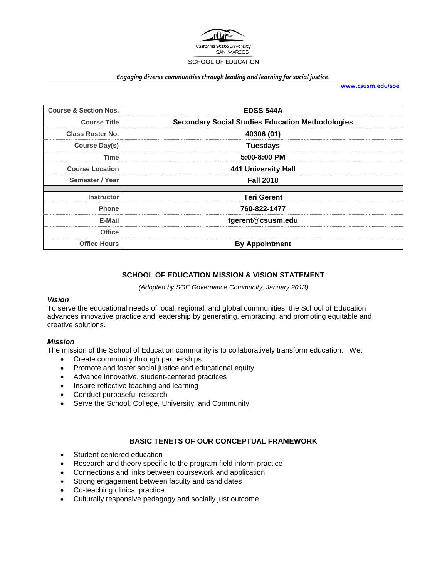

#### *Engaging diverse communities through leading and learning for social justice.*

**[www.csusm.edu/soe](http://www.csusm.edu/soe)**

| <b>Course &amp; Section Nos.</b> | <b>EDSS 544A</b>                                        |  |
|----------------------------------|---------------------------------------------------------|--|
| <b>Course Title</b>              | <b>Secondary Social Studies Education Methodologies</b> |  |
| <b>Class Roster No.</b>          | 40306 (01)                                              |  |
| <b>Course Day(s)</b>             | <b>Tuesdays</b>                                         |  |
| Time                             | $5:00-8:00$ PM                                          |  |
| <b>Course Location</b>           | 441 University Hall                                     |  |
| Semester / Year                  | <b>Fall 2018</b>                                        |  |
|                                  |                                                         |  |
| Instructor                       | <b>Teri Gerent</b>                                      |  |
| <b>Phone</b>                     | 760-822-1477                                            |  |
| E-Mail                           | tgerent@csusm.edu                                       |  |
| <b>Office</b>                    |                                                         |  |
| <b>Office Hours</b>              | <b>By Appointment</b>                                   |  |

# **SCHOOL OF EDUCATION MISSION & VISION STATEMENT**

*(Adopted by SOE Governance Community, January 2013)*

#### *Vision*

To serve the educational needs of local, regional, and global communities, the School of Education advances innovative practice and leadership by generating, embracing, and promoting equitable and creative solutions.

# *Mission*

The mission of the School of Education community is to collaboratively transform education. We:

- Create community through partnerships
- Promote and foster social justice and educational equity
- Advance innovative, student-centered practices
- Inspire reflective teaching and learning
- Conduct purposeful research
- Serve the School, College, University, and Community

# **BASIC TENETS OF OUR CONCEPTUAL FRAMEWORK**

- Student centered education
- Research and theory specific to the program field inform practice
- Connections and links between coursework and application
- Strong engagement between faculty and candidates
- Co-teaching clinical practice
- Culturally responsive pedagogy and socially just outcome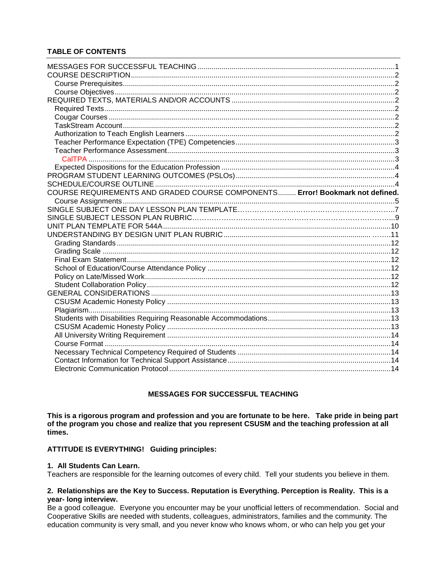# **TABLE OF CONTENTS**

| COURSE REQUIREMENTS AND GRADED COURSE COMPONENTS Error! Bookmark not defined. |  |
|-------------------------------------------------------------------------------|--|
|                                                                               |  |
|                                                                               |  |
|                                                                               |  |
|                                                                               |  |
|                                                                               |  |
|                                                                               |  |
|                                                                               |  |
|                                                                               |  |
|                                                                               |  |
|                                                                               |  |
|                                                                               |  |
|                                                                               |  |
|                                                                               |  |
|                                                                               |  |
|                                                                               |  |
|                                                                               |  |
|                                                                               |  |
|                                                                               |  |
|                                                                               |  |
|                                                                               |  |
|                                                                               |  |
|                                                                               |  |

# **MESSAGES FOR SUCCESSFUL TEACHING**

**This is a rigorous program and profession and you are fortunate to be here. Take pride in being part of the program you chose and realize that you represent CSUSM and the teaching profession at all times.**

# **ATTITUDE IS EVERYTHING! Guiding principles:**

#### **1. All Students Can Learn.**

Teachers are responsible for the learning outcomes of every child. Tell your students you believe in them.

#### **2. Relationships are the Key to Success. Reputation is Everything. Perception is Reality. This is a year- long interview.**

Be a good colleague. Everyone you encounter may be your unofficial letters of recommendation. Social and Cooperative Skills are needed with students, colleagues, administrators, families and the community. The education community is very small, and you never know who knows whom, or who can help you get your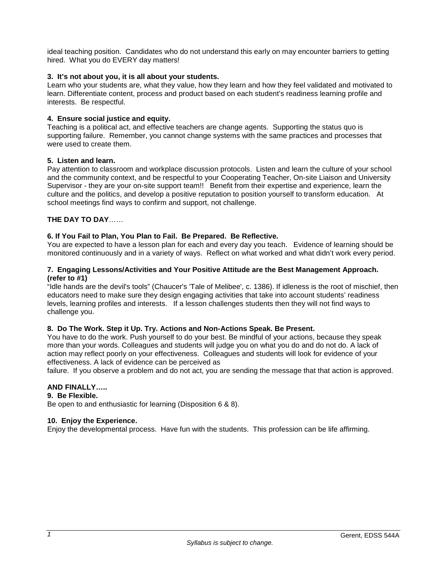ideal teaching position. Candidates who do not understand this early on may encounter barriers to getting hired. What you do EVERY day matters!

#### **3. It's not about you, it is all about your students.**

Learn who your students are, what they value, how they learn and how they feel validated and motivated to learn. Differentiate content, process and product based on each student's readiness learning profile and interests. Be respectful.

#### **4. Ensure social justice and equity.**

Teaching is a political act, and effective teachers are change agents. Supporting the status quo is supporting failure. Remember, you cannot change systems with the same practices and processes that were used to create them.

#### **5. Listen and learn.**

Pay attention to classroom and workplace discussion protocols. Listen and learn the culture of your school and the community context, and be respectful to your Cooperating Teacher, On-site Liaison and University Supervisor - they are your on-site support team!! Benefit from their expertise and experience, learn the culture and the politics, and develop a positive reputation to position yourself to transform education. At school meetings find ways to confirm and support, not challenge.

#### **THE DAY TO DAY**……

#### **6. If You Fail to Plan, You Plan to Fail. Be Prepared. Be Reflective.**

You are expected to have a lesson plan for each and every day you teach. Evidence of learning should be monitored continuously and in a variety of ways. Reflect on what worked and what didn't work every period.

#### **7. Engaging Lessons/Activities and Your Positive Attitude are the Best Management Approach. (refer to #1)**

"Idle hands are the devil's tools" (Chaucer's 'Tale of Melibee', c. 1386). If idleness is the root of mischief, then educators need to make sure they design engaging activities that take into account students' readiness levels, learning profiles and interests. If a lesson challenges students then they will not find ways to challenge you.

#### **8. Do The Work. Step it Up. Try. Actions and Non-Actions Speak. Be Present.**

You have to do the work. Push yourself to do your best. Be mindful of your actions, because they speak more than your words. Colleagues and students will judge you on what you do and do not do. A lack of action may reflect poorly on your effectiveness. Colleagues and students will look for evidence of your effectiveness. A lack of evidence can be perceived as

failure. If you observe a problem and do not act, you are sending the message that that action is approved.

#### **AND FINALLY…..**

#### **9. Be Flexible.**

Be open to and enthusiastic for learning (Disposition 6 & 8).

#### **10. Enjoy the Experience.**

Enjoy the developmental process. Have fun with the students. This profession can be life affirming.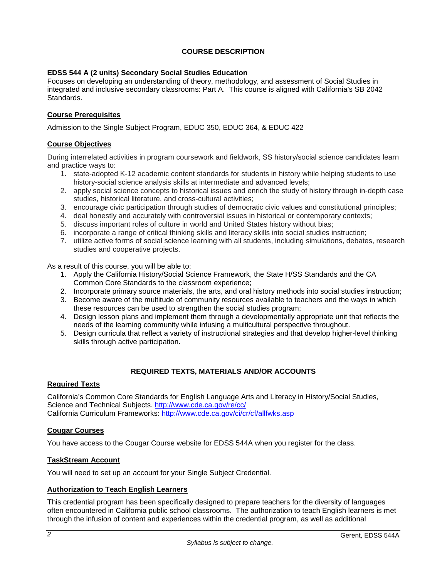# **COURSE DESCRIPTION**

# **EDSS 544 A (2 units) Secondary Social Studies Education**

Focuses on developing an understanding of theory, methodology, and assessment of Social Studies in integrated and inclusive secondary classrooms: Part A. This course is aligned with California's SB 2042 Standards.

# **Course Prerequisites**

Admission to the Single Subject Program, EDUC 350, EDUC 364, & EDUC 422

# **Course Objectives**

During interrelated activities in program coursework and fieldwork, SS history/social science candidates learn and practice ways to:

- 1. state-adopted K-12 academic content standards for students in history while helping students to use history-social science analysis skills at intermediate and advanced levels;
- 2. apply social science concepts to historical issues and enrich the study of history through in-depth case studies, historical literature, and cross-cultural activities;
- 3. encourage civic participation through studies of democratic civic values and constitutional principles;
- 4. deal honestly and accurately with controversial issues in historical or contemporary contexts;
- 5. discuss important roles of culture in world and United States history without bias;
- 6. incorporate a range of critical thinking skills and literacy skills into social studies instruction;
- 7. utilize active forms of social science learning with all students, including simulations, debates, research studies and cooperative projects.

As a result of this course, you will be able to:

- 1. Apply the California History/Social Science Framework, the State H/SS Standards and the CA Common Core Standards to the classroom experience;
- 2. Incorporate primary source materials, the arts, and oral history methods into social studies instruction;
- 3. Become aware of the multitude of community resources available to teachers and the ways in which these resources can be used to strengthen the social studies program;
- 4. Design lesson plans and implement them through a developmentally appropriate unit that reflects the needs of the learning community while infusing a multicultural perspective throughout.
- 5. Design curricula that reflect a variety of instructional strategies and that develop higher-level thinking skills through active participation.

# **REQUIRED TEXTS, MATERIALS AND/OR ACCOUNTS**

# **Required Texts**

California's Common Core Standards for English Language Arts and Literacy in History/Social Studies, Science and Technical Subjects.<http://www.cde.ca.gov/re/cc/> California Curriculum Frameworks: <http://www.cde.ca.gov/ci/cr/cf/allfwks.asp>

# **Cougar Courses**

You have access to the Cougar Course website for EDSS 544A when you register for the class.

# **TaskStream Account**

You will need to set up an account for your Single Subject Credential.

# **Authorization to Teach English Learners**

This credential program has been specifically designed to prepare teachers for the diversity of languages often encountered in California public school classrooms. The authorization to teach English learners is met through the infusion of content and experiences within the credential program, as well as additional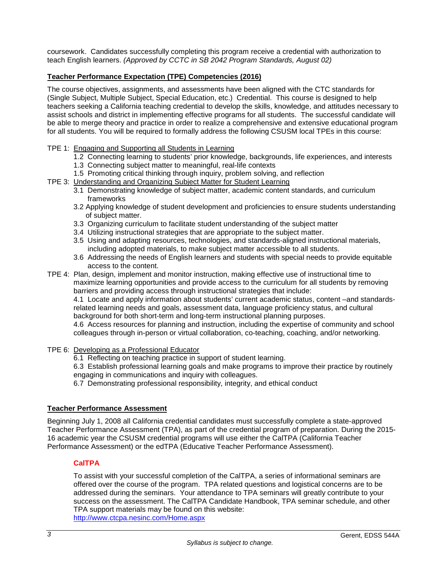coursework. Candidates successfully completing this program receive a credential with authorization to teach English learners. *(Approved by CCTC in SB 2042 Program Standards, August 02)*

# **Teacher Performance Expectation (TPE) Competencies (2016)**

The course objectives, assignments, and assessments have been aligned with the CTC standards for (Single Subject, Multiple Subject, Special Education, etc.) Credential. This course is designed to help teachers seeking a California teaching credential to develop the skills, knowledge, and attitudes necessary to assist schools and district in implementing effective programs for all students. The successful candidate will be able to merge theory and practice in order to realize a comprehensive and extensive educational program for all students. You will be required to formally address the following CSUSM local TPEs in this course:

#### TPE 1: Engaging and Supporting all Students in Learning

- 1.2 Connecting learning to students' prior knowledge, backgrounds, life experiences, and interests
- 1.3 Connecting subject matter to meaningful, real-life contexts
- 1.5 Promoting critical thinking through inquiry, problem solving, and reflection
- TPE 3: Understanding and Organizing Subject Matter for Student Learning
	- 3.1 Demonstrating knowledge of subject matter, academic content standards, and curriculum frameworks
	- 3.2 Applying knowledge of student development and proficiencies to ensure students understanding of subject matter.
	- 3.3 Organizing curriculum to facilitate student understanding of the subject matter
	- 3.4 Utilizing instructional strategies that are appropriate to the subject matter.
	- 3.5 Using and adapting resources, technologies, and standards-aligned instructional materials, including adopted materials, to make subject matter accessible to all students.
	- 3.6 Addressing the needs of English learners and students with special needs to provide equitable access to the content.
- TPE 4: Plan, design, implement and monitor instruction, making effective use of instructional time to maximize learning opportunities and provide access to the curriculum for all students by removing barriers and providing access through instructional strategies that include:

4.1 Locate and apply information about students' current academic status, content –and standardsrelated learning needs and goals, assessment data, language proficiency status, and cultural background for both short-term and long-term instructional planning purposes.

4.6 Access resources for planning and instruction, including the expertise of community and school colleagues through in-person or virtual collaboration, co-teaching, coaching, and/or networking.

TPE 6: Developing as a Professional Educator

6.1 Reflecting on teaching practice in support of student learning.

6.3 Establish professional learning goals and make programs to improve their practice by routinely engaging in communications and inquiry with colleagues.

6.7 Demonstrating professional responsibility, integrity, and ethical conduct

#### **Teacher Performance Assessment**

Beginning July 1, 2008 all California credential candidates must successfully complete a state-approved Teacher Performance Assessment (TPA), as part of the credential program of preparation. During the 2015- 16 academic year the CSUSM credential programs will use either the CalTPA (California Teacher Performance Assessment) or the edTPA (Educative Teacher Performance Assessment).

# **CalTPA**

To assist with your successful completion of the CalTPA, a series of informational seminars are offered over the course of the program. TPA related questions and logistical concerns are to be addressed during the seminars. Your attendance to TPA seminars will greatly contribute to your success on the assessment. The CalTPA Candidate Handbook, TPA seminar schedule, and other TPA support materials may be found on this website: <http://www.ctcpa.nesinc.com/Home.aspx>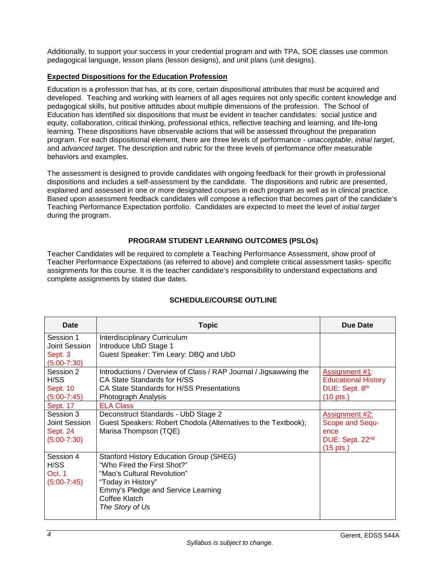Additionally, to support your success in your credential program and with TPA, SOE classes use common pedagogical language, lesson plans (lesson designs), and unit plans (unit designs).

# **Expected Dispositions for the Education Profession**

Education is a profession that has, at its core, certain dispositional attributes that must be acquired and developed. Teaching and working with learners of all ages requires not only specific content knowledge and pedagogical skills, but positive attitudes about multiple dimensions of the profession. The School of Education has identified six dispositions that must be evident in teacher candidates: social justice and equity, collaboration, critical thinking, professional ethics, reflective teaching and learning, and life-long learning. These dispositions have observable actions that will be assessed throughout the preparation program. For each dispositional element, there are three levels of performance - *unacceptable*, *initial target*, and *advanced target*. The description and rubric for the three levels of performance offer measurable behaviors and examples.

The assessment is designed to provide candidates with ongoing feedback for their growth in professional dispositions and includes a self-assessment by the candidate. The dispositions and rubric are presented, explained and assessed in one or more designated courses in each program as well as in clinical practice. Based upon assessment feedback candidates will compose a reflection that becomes part of the candidate's Teaching Performance Expectation portfolio. Candidates are expected to meet the level of *initial target* during the program.

# **PROGRAM STUDENT LEARNING OUTCOMES (PSLOs)**

Teacher Candidates will be required to complete a Teaching Performance Assessment, show proof of Teacher Performance Expectations (as referred to above) and complete critical assessment tasks- specific assignments for this course. It is the teacher candidate's responsibility to understand expectations and complete assignments by stated due dates.

| Date            | <b>Topic</b>                                                     | Due Date                   |  |
|-----------------|------------------------------------------------------------------|----------------------------|--|
| Session 1       | Interdisciplinary Curriculum                                     |                            |  |
| Joint Session   | Introduce UbD Stage 1                                            |                            |  |
| Sept. 3         | Guest Speaker: Tim Leary: DBQ and UbD                            |                            |  |
| $(5:00-7:30)$   |                                                                  |                            |  |
| Session 2       | Introductions / Overview of Class / RAP Journal / Jigsawwing the | Assignment #1:             |  |
| H/SS            | CA State Standards for H/SS                                      | <b>Educational History</b> |  |
| <b>Sept. 10</b> | CA State Standards for H/SS Presentations                        | DUE: Sept. 8th             |  |
| $(5:00-7:45)$   | Photograph Analysis                                              | $(10 \text{ pts.})$        |  |
| <b>Sept. 17</b> | <b>ELA Class</b>                                                 |                            |  |
| Session 3       | Deconstruct Standards - UbD Stage 2                              | Assignment #2:             |  |
| Joint Session   | Guest Speakers: Robert Chodola (Alternatives to the Textbook);   | Scope and Sequ-            |  |
| Sept. 24        | Marisa Thompson (TQE)                                            | ence                       |  |
| $(5:00-7:30)$   |                                                                  | DUE: Sept. 22nd            |  |
|                 |                                                                  | $(15$ pts.)                |  |
| Session 4       | <b>Stanford History Education Group (SHEG)</b>                   |                            |  |
| H/SS            | "Who Fired the First Shot?"                                      |                            |  |
| Oct. 1          | "Mao's Cultural Revolution"                                      |                            |  |
| $(5:00 - 7:45)$ | "Today in History"                                               |                            |  |
|                 | Emmy's Pledge and Service Learning                               |                            |  |
|                 | Coffee Klatch                                                    |                            |  |
|                 | The Story of Us                                                  |                            |  |
|                 |                                                                  |                            |  |

# **SCHEDULE/COURSE OUTLINE**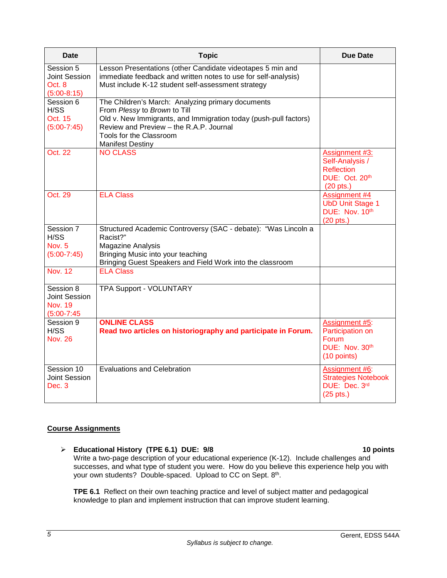| Date                                                         | <b>Topic</b>                                                                                                                                                                                                                                           | Due Date                                                                                               |
|--------------------------------------------------------------|--------------------------------------------------------------------------------------------------------------------------------------------------------------------------------------------------------------------------------------------------------|--------------------------------------------------------------------------------------------------------|
| Session 5<br><b>Joint Session</b><br>Oct. 8<br>$(5:00-8:15)$ | Lesson Presentations (other Candidate videotapes 5 min and<br>immediate feedback and written notes to use for self-analysis)<br>Must include K-12 student self-assessment strategy                                                                     |                                                                                                        |
| Session 6<br>H/SS<br>Oct. 15<br>$(5:00 - 7:45)$              | The Children's March: Analyzing primary documents<br>From Plessy to Brown to Till<br>Old v. New Immigrants, and Immigration today (push-pull factors)<br>Review and Preview - the R.A.P. Journal<br>Tools for the Classroom<br><b>Manifest Destiny</b> |                                                                                                        |
| <b>Oct. 22</b>                                               | <b>NO CLASS</b>                                                                                                                                                                                                                                        | <b>Assignment #3:</b><br>Self-Analysis /<br><b>Reflection</b><br>DUE: Oct. 20th<br>$(20 \text{ pts.})$ |
| Oct. 29                                                      | <b>ELA Class</b>                                                                                                                                                                                                                                       | Assignment #4<br><b>UbD Unit Stage 1</b><br>DUE: Nov. 10th<br>$(20$ pts.)                              |
| Session 7<br>H/SS<br>Nov. 5<br>$(5:00-7:45)$                 | Structured Academic Controversy (SAC - debate): "Was Lincoln a<br>Racist?"<br>Magazine Analysis<br>Bringing Music into your teaching<br>Bringing Guest Speakers and Field Work into the classroom                                                      |                                                                                                        |
| Nov. 12                                                      | <b>ELA Class</b>                                                                                                                                                                                                                                       |                                                                                                        |
| Session 8<br>Joint Session<br>Nov. 19<br>$(5:00 - 7:45)$     | TPA Support - VOLUNTARY                                                                                                                                                                                                                                |                                                                                                        |
| Session 9<br>H/SS<br>Nov. 26                                 | <b>ONLINE CLASS</b><br>Read two articles on historiography and participate in Forum.                                                                                                                                                                   | Assignment #5:<br>Participation on<br>Forum<br>DUE: Nov. 30th<br>(10 points)                           |
| Session 10<br><b>Joint Session</b><br>Dec. 3                 | <b>Evaluations and Celebration</b>                                                                                                                                                                                                                     | Assignment #6:<br><b>Strategies Notebook</b><br>DUE: Dec. 3rd<br>$(25$ pts.)                           |

# **Course Assignments**

 **Educational History (TPE 6.1) DUE: 9/8 10 points** Write a two-page description of your educational experience (K-12). Include challenges and successes, and what type of student you were. How do you believe this experience help you with your own students? Double-spaced. Upload to CC on Sept. 8th.

**TPE 6.1** Reflect on their own teaching practice and level of subject matter and pedagogical knowledge to plan and implement instruction that can improve student learning.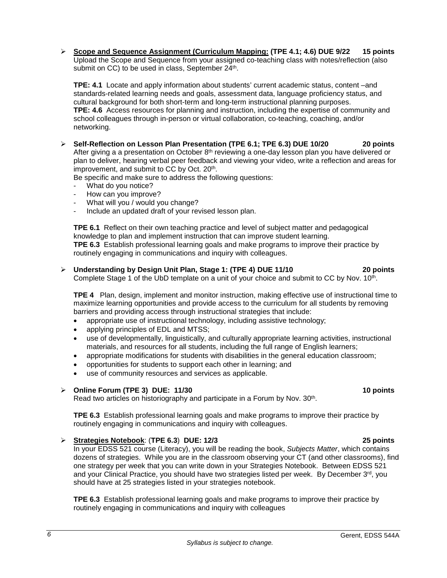**Scope and Sequence Assignment (Curriculum Mapping: (TPE 4.1; 4.6) DUE 9/22 15 points** Upload the Scope and Sequence from your assigned co-teaching class with notes/reflection (also submit on CC) to be used in class, September 24<sup>th</sup>.

**TPE: 4.1** Locate and apply information about students' current academic status, content –and standards-related learning needs and goals, assessment data, language proficiency status, and cultural background for both short-term and long-term instructional planning purposes. **TPE: 4.6** Access resources for planning and instruction, including the expertise of community and school colleagues through in-person or virtual collaboration, co-teaching, coaching, and/or networking.

 **Self-Reflection on Lesson Plan Presentation (TPE 6.1; TPE 6.3) DUE 10/20 20 points** After giving a a presentation on October 8<sup>th</sup> reviewing a one-day lesson plan you have delivered or plan to deliver, hearing verbal peer feedback and viewing your video, write a reflection and areas for improvement, and submit to CC by Oct. 20<sup>th</sup>.

Be specific and make sure to address the following questions:

- What do you notice?
- How can you improve?
- What will you / would you change?
- Include an updated draft of your revised lesson plan.

**TPE 6.1** Reflect on their own teaching practice and level of subject matter and pedagogical knowledge to plan and implement instruction that can improve student learning. **TPE 6.3** Establish professional learning goals and make programs to improve their practice by routinely engaging in communications and inquiry with colleagues.

# **Understanding by Design Unit Plan, Stage 1: (TPE 4) DUE 11/10 20 points**

Complete Stage 1 of the UbD template on a unit of your choice and submit to CC by Nov. 10th.

**TPE 4** Plan, design, implement and monitor instruction, making effective use of instructional time to maximize learning opportunities and provide access to the curriculum for all students by removing barriers and providing access through instructional strategies that include:

- appropriate use of instructional technology, including assistive technology;
- applying principles of EDL and MTSS;
- use of developmentally, linguistically, and culturally appropriate learning activities, instructional materials, and resources for all students, including the full range of English learners;
- appropriate modifications for students with disabilities in the general education classroom;
- opportunities for students to support each other in learning; and
- use of community resources and services as applicable.

# **Online Forum (TPE 3) DUE: 11/30 10 points**

Read two articles on historiography and participate in a Forum by Nov. 30<sup>th</sup>.

**TPE 6.3** Establish professional learning goals and make programs to improve their practice by routinely engaging in communications and inquiry with colleagues.

# **Strategies Notebook**: (**TPE 6.3**) **DUE: 12/3 25 points**

In your EDSS 521 course (Literacy), you will be reading the book, *Subjects Matter*, which contains dozens of strategies. While you are in the classroom observing your CT (and other classrooms), find one strategy per week that you can write down in your Strategies Notebook. Between EDSS 521 and your Clinical Practice, you should have two strategies listed per week. By December 3rd, you should have at 25 strategies listed in your strategies notebook.

**TPE 6.3** Establish professional learning goals and make programs to improve their practice by routinely engaging in communications and inquiry with colleagues

#### Gerent, EDSS 544A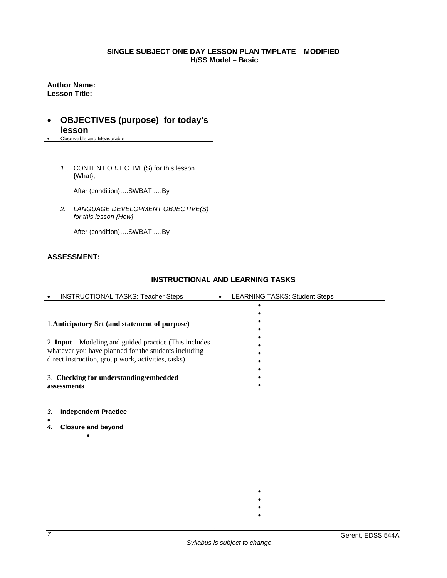#### **SINGLE SUBJECT ONE DAY LESSON PLAN TMPLATE – MODIFIED H/SS Model – Basic**

**Author Name: Lesson Title:**

- **OBJECTIVES (purpose) for today's lesson**
- Observable and Measurable
	- *1.* CONTENT OBJECTIVE(S) for this lesson {What};

After (condition)….SWBAT ….By

*2. LANGUAGE DEVELOPMENT OBJECTIVE(S) for this lesson {How}*

After (condition)….SWBAT ….By

# **ASSESSMENT:**

# • INSTRUCTIONAL TASKS: Teacher Steps  $\vert \cdot \vert$  LEARNING TASKS: Student Steps 1.**Anticipatory Set (and statement of purpose)** 2. **Input** – Modeling and guided practice (This includes whatever you have planned for the students including direct instruction, group work, activities, tasks) 3. **Checking for understanding/embedded assessments** *3.* **Independent Practice** • *4.* **Closure and beyond** • • • • • • • • • • • • • • • •

# **INSTRUCTIONAL AND LEARNING TASKS**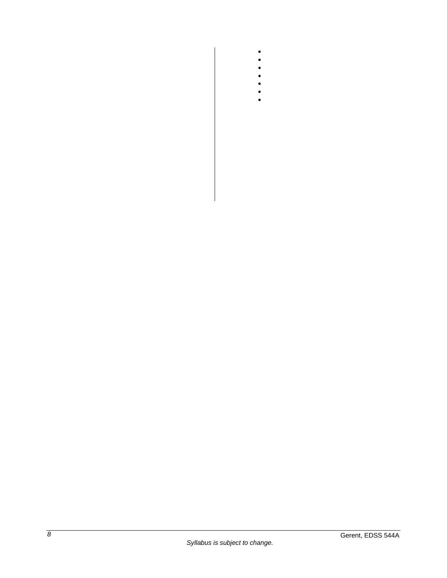- - •

• •

- •
- •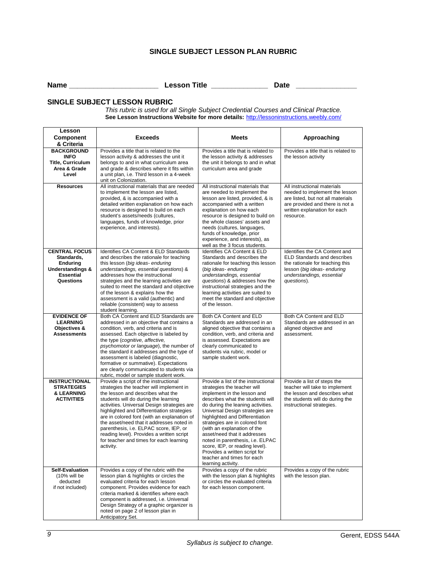# **SINGLE SUBJECT LESSON PLAN RUBRIC**

**Name \_\_\_\_\_\_\_\_\_\_\_\_\_\_\_\_\_\_\_\_\_\_ Lesson Title \_\_\_\_\_\_\_\_\_\_\_\_\_\_ Date \_\_\_\_\_\_\_\_\_\_\_\_\_\_\_**

#### **SINGLE SUBJECT LESSON RUBRIC**

*This rubric is used for all Single Subject Credential Courses and Clinical Practice.* **See Lesson Instructions Website for more details:** <http://lessoninstructions.weebly.com/>

| Lesson                                                                                                                |                                                                                                                                                                                                                                                                                                                                                                                                                                                                                                        |                                                                                                                                                                                                                                                                                                                                                                                                                                                                                                              |                                                                                                                                                                                    |  |
|-----------------------------------------------------------------------------------------------------------------------|--------------------------------------------------------------------------------------------------------------------------------------------------------------------------------------------------------------------------------------------------------------------------------------------------------------------------------------------------------------------------------------------------------------------------------------------------------------------------------------------------------|--------------------------------------------------------------------------------------------------------------------------------------------------------------------------------------------------------------------------------------------------------------------------------------------------------------------------------------------------------------------------------------------------------------------------------------------------------------------------------------------------------------|------------------------------------------------------------------------------------------------------------------------------------------------------------------------------------|--|
| Component<br>& Criteria                                                                                               | <b>Exceeds</b>                                                                                                                                                                                                                                                                                                                                                                                                                                                                                         | Meets                                                                                                                                                                                                                                                                                                                                                                                                                                                                                                        | Approaching                                                                                                                                                                        |  |
| <b>BACKGROUND</b><br><b>INFO</b><br><b>Title, Curriculum</b><br>Area & Grade<br>Level                                 | Provides a title that is related to the<br>lesson activity & addresses the unit it<br>belongs to and in what curriculum area<br>and grade & describes where it fits within<br>a unit plan, i.e. Third lesson in a 4-week<br>unit on Colonization.                                                                                                                                                                                                                                                      | Provides a title that is related to<br>the lesson activity & addresses<br>the unit it belongs to and in what<br>curriculum area and grade                                                                                                                                                                                                                                                                                                                                                                    | Provides a title that is related to<br>the lesson activity                                                                                                                         |  |
| <b>Resources</b>                                                                                                      | All instructional materials that are needed<br>to implement the lesson are listed,<br>provided, & is accompanied with a<br>detailed written explanation on how each<br>resource is designed to build on each<br>student's assets/needs (cultures,<br>languages, funds of knowledge, prior<br>experience, and interests).                                                                                                                                                                               | All instructional materials that<br>are needed to implement the<br>lesson are listed, provided, & is<br>accompanied with a written<br>explanation on how each<br>resource is designed to build on<br>the whole classes' assets and<br>needs (cultures, languages,<br>funds of knowledge, prior<br>experience, and interests), as<br>well as the 3 focus students.                                                                                                                                            | All instructional materials<br>needed to implement the lesson<br>are listed, but not all materials<br>are provided and there is not a<br>written explanation for each<br>resource. |  |
| <b>CENTRAL FOCUS</b><br>Standards,<br><b>Enduring</b><br><b>Understandings &amp;</b><br><b>Essential</b><br>Questions | <b>Identifies CA Content &amp; ELD Standards</b><br>and describes the rationale for teaching<br>this lesson (big ideas- enduring<br>understandings, essential questions) &<br>addresses how the instructional<br>strategies and the learning activities are<br>suited to meet the standard and objective<br>of the lesson & explains how the<br>assessment is a valid (authentic) and<br>reliable (consistent) way to assess<br>student learning.                                                      | Identifies CA Content & ELD<br>Standards and describes the<br>rationale for teaching this lesson<br>(big ideas-enduring<br>understandings, essential<br>questions) & addresses how the<br>instructional strategies and the<br>learning activities are suited to<br>meet the standard and objective<br>of the lesson.                                                                                                                                                                                         | Identifies the CA Content and<br><b>ELD Standards and describes</b><br>the rationale for teaching this<br>lesson (big ideas- enduring<br>understandings, essential<br>questions).  |  |
| <b>EVIDENCE OF</b><br><b>LEARNING</b><br>Objectives &<br><b>Assessments</b>                                           | Both CA Content and ELD Standards are<br>addressed in an objective that contains a<br>condition, verb, and criteria and is<br>assessed. Each objective is labeled by<br>the type (cognitive, affective,<br>psychomotor or language), the number of<br>the standard it addresses and the type of<br>assessment is labeled (diagnostic,<br>formative or summative). Expectations<br>are clearly communicated to students via<br>rubric, model or sample student work.                                    | Both CA Content and ELD<br>Standards are addressed in an<br>aligned objective that contains a<br>condition, verb, and criteria and<br>is assessed. Expectations are<br>clearly communicated to<br>students via rubric, model or<br>sample student work.                                                                                                                                                                                                                                                      | Both CA Content and ELD<br>Standards are addressed in an<br>aligned objective and<br>assessment.                                                                                   |  |
| <b>INSTRUCTIONAL</b><br><b>STRATEGIES</b><br>& LEARNING<br><b>ACTIVITIES</b>                                          | Provide a script of the instructional<br>strategies the teacher will implement in<br>the lesson and describes what the<br>students will do during the learning<br>activities. Universal Design strategies are<br>highlighted and Differentiation strategies<br>are in colored font (with an explanation of<br>the asset/need that it addresses noted in<br>parenthesis, i.e. ELPAC score, IEP, or<br>reading level). Provides a written script<br>for teacher and times for each learning<br>activity. | Provide a list of the instructional<br>strategies the teacher will<br>implement in the lesson and<br>describes what the students will<br>do during the leaning activities.<br>Universal Design strategies are<br>highlighted and Differentiation<br>strategies are in colored font<br>(with an explanation of the<br>asset/need that it addresses<br>noted in parenthesis, i.e. ELPAC<br>score, IEP, or reading level).<br>Provides a written script for<br>teacher and times for each<br>learning activity. | Provide a list of steps the<br>teacher will take to implement<br>the lesson and describes what<br>the students will do during the<br>instructional strategies.                     |  |
| Self-Evaluation<br>$(10\%$ will be<br>deducted<br>if not included)                                                    | Provides a copy of the rubric with the<br>lesson plan & highlights or circles the<br>evaluated criteria for each lesson<br>component. Provides evidence for each<br>criteria marked & identifies where each<br>component is addressed, i.e. Universal<br>Design Strategy of a graphic organizer is<br>noted on page 2 of lesson plan in<br>Anticipatory Set.                                                                                                                                           | Provides a copy of the rubric<br>with the lesson plan & highlights<br>or circles the evaluated criteria<br>for each lesson component.                                                                                                                                                                                                                                                                                                                                                                        | Provides a copy of the rubric<br>with the lesson plan.                                                                                                                             |  |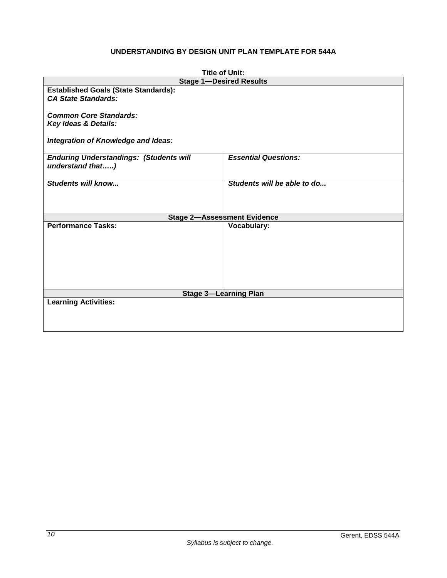# **UNDERSTANDING BY DESIGN UNIT PLAN TEMPLATE FOR 544A**

| <b>Title of Unit:</b>                                              |                                |  |  |
|--------------------------------------------------------------------|--------------------------------|--|--|
|                                                                    | <b>Stage 1-Desired Results</b> |  |  |
| <b>Established Goals (State Standards):</b>                        |                                |  |  |
| <b>CA State Standards:</b>                                         |                                |  |  |
|                                                                    |                                |  |  |
| <b>Common Core Standards:</b>                                      |                                |  |  |
| Key Ideas & Details:                                               |                                |  |  |
| <b>Integration of Knowledge and Ideas:</b>                         |                                |  |  |
|                                                                    |                                |  |  |
| <b>Enduring Understandings: (Students will</b><br>understand that) | <b>Essential Questions:</b>    |  |  |
|                                                                    |                                |  |  |
| Students will know                                                 | Students will be able to do    |  |  |
|                                                                    |                                |  |  |
|                                                                    |                                |  |  |
|                                                                    |                                |  |  |
| <b>Stage 2-Assessment Evidence</b>                                 |                                |  |  |
| <b>Performance Tasks:</b>                                          | <b>Vocabulary:</b>             |  |  |
|                                                                    |                                |  |  |
|                                                                    |                                |  |  |
|                                                                    |                                |  |  |
|                                                                    |                                |  |  |
|                                                                    |                                |  |  |
|                                                                    |                                |  |  |
| <b>Stage 3-Learning Plan</b>                                       |                                |  |  |
| <b>Learning Activities:</b>                                        |                                |  |  |
|                                                                    |                                |  |  |
|                                                                    |                                |  |  |
|                                                                    |                                |  |  |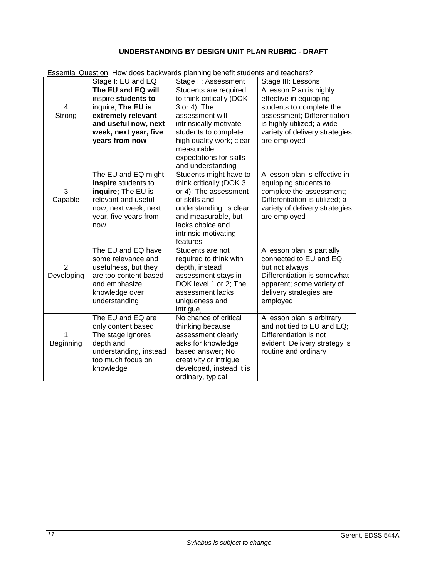# **UNDERSTANDING BY DESIGN UNIT PLAN RUBRIC - DRAFT**

|            | Stage I: EU and EQ           | Stage II: Assessment                    | Stage III: Lessons             |
|------------|------------------------------|-----------------------------------------|--------------------------------|
|            | The EU and EQ will           | Students are required                   | A lesson Plan is highly        |
|            | inspire students to          | to think critically (DOK                | effective in equipping         |
| 4          | inquire; The EU is           | 3 or 4); The                            | students to complete the       |
| Strong     | extremely relevant           | assessment will                         | assessment; Differentiation    |
|            | and useful now, next         | intrinsically motivate                  | is highly utilized; a wide     |
|            | week, next year, five        | students to complete                    | variety of delivery strategies |
|            | years from now               | high quality work; clear                | are employed                   |
|            |                              | measurable                              |                                |
|            |                              | expectations for skills                 |                                |
|            |                              | and understanding                       |                                |
|            | The EU and EQ might          | Students might have to                  | A lesson plan is effective in  |
|            | inspire students to          | think critically (DOK 3                 | equipping students to          |
| 3          | inquire; The EU is           | or 4); The assessment                   | complete the assessment;       |
| Capable    | relevant and useful          | of skills and                           | Differentiation is utilized; a |
|            | now, next week, next         | understanding is clear                  | variety of delivery strategies |
|            | year, five years from<br>now | and measurable, but<br>lacks choice and | are employed                   |
|            |                              | intrinsic motivating                    |                                |
|            |                              | features                                |                                |
|            | The EU and EQ have           | Students are not                        | A lesson plan is partially     |
|            | some relevance and           | required to think with                  | connected to EU and EQ,        |
| 2          | usefulness, but they         | depth, instead                          | but not always;                |
| Developing | are too content-based        | assessment stays in                     | Differentiation is somewhat    |
|            | and emphasize                | DOK level 1 or 2; The                   | apparent; some variety of      |
|            | knowledge over               | assessment lacks                        | delivery strategies are        |
|            | understanding                | uniqueness and                          | employed                       |
|            |                              | intrigue,                               |                                |
|            | The EU and EQ are            | No chance of critical                   | A lesson plan is arbitrary     |
|            | only content based;          | thinking because                        | and not tied to EU and EQ;     |
|            | The stage ignores            | assessment clearly                      | Differentiation is not         |
| Beginning  | depth and                    | asks for knowledge                      | evident; Delivery strategy is  |
|            | understanding, instead       | based answer; No                        | routine and ordinary           |
|            | too much focus on            | creativity or intrigue                  |                                |
|            | knowledge                    | developed, instead it is                |                                |
|            |                              | ordinary, typical                       |                                |

Essential Question: How does backwards planning benefit students and teachers?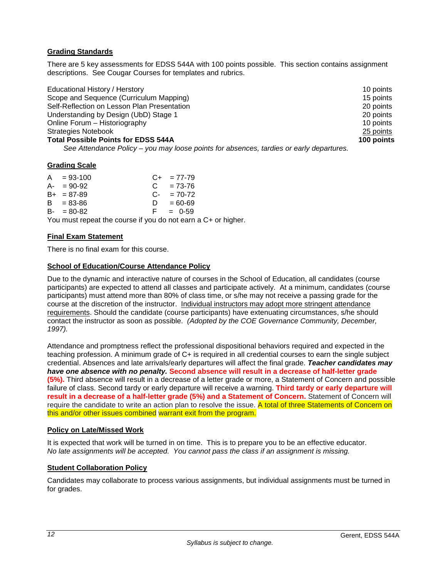# **Grading Standards**

There are 5 key assessments for EDSS 544A with 100 points possible. This section contains assignment descriptions. See Cougar Courses for templates and rubrics.

| Educational History / Herstory                                                          | 10 points  |
|-----------------------------------------------------------------------------------------|------------|
| Scope and Sequence (Curriculum Mapping)                                                 | 15 points  |
| Self-Reflection on Lesson Plan Presentation                                             | 20 points  |
| Understanding by Design (UbD) Stage 1                                                   | 20 points  |
| Online Forum – Historiography                                                           | 10 points  |
| <b>Strategies Notebook</b>                                                              | 25 points  |
| <b>Total Possible Points for EDSS 544A</b>                                              | 100 points |
| See Attendance Policy - you may loose points for absences, tardies or early departures. |            |

# **Grading Scale**

| $A = 93-100$                                                  | $C_{+}$ = 77-79 |
|---------------------------------------------------------------|-----------------|
| $A - 90-92$                                                   | $C = 73-76$     |
| $B_{+}$ = 87-89                                               | $C - 70-72$     |
| $B = 83 - 86$                                                 | $D = 60 - 69$   |
| $B - = 80 - 82$                                               | $F = 0.59$      |
| You must repeat the course if you do not earn a C+ or higher. |                 |

# **Final Exam Statement**

There is no final exam for this course.

# **School of Education/Course Attendance Policy**

Due to the dynamic and interactive nature of courses in the School of Education, all candidates (course participants) are expected to attend all classes and participate actively. At a minimum, candidates (course participants) must attend more than 80% of class time, or s/he may not receive a passing grade for the course at the discretion of the instructor. Individual instructors may adopt more stringent attendance requirements. Should the candidate (course participants) have extenuating circumstances, s/he should contact the instructor as soon as possible. *(Adopted by the COE Governance Community, December, 1997).*

Attendance and promptness reflect the professional dispositional behaviors required and expected in the teaching profession. A minimum grade of C+ is required in all credential courses to earn the single subject credential. Absences and late arrivals/early departures will affect the final grade. *Teacher candidates may have one absence with no penalty.* **Second absence will result in a decrease of half-letter grade (5%).** Third absence will result in a decrease of a letter grade or more, a Statement of Concern and possible failure of class. Second tardy or early departure will receive a warning. **Third tardy or early departure will result in a decrease of a half-letter grade (5%) and a Statement of Concern.** Statement of Concern will require the candidate to write an action plan to resolve the issue. A total of three Statements of Concern on this and/or other issues combined warrant exit from the program.

# **Policy on Late/Missed Work**

It is expected that work will be turned in on time. This is to prepare you to be an effective educator. *No late assignments will be accepted. You cannot pass the class if an assignment is missing.*

# **Student Collaboration Policy**

Candidates may collaborate to process various assignments, but individual assignments must be turned in for grades.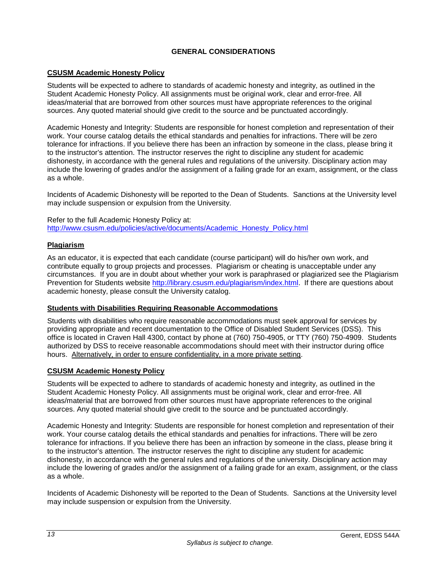# **GENERAL CONSIDERATIONS**

#### **CSUSM Academic Honesty Policy**

Students will be expected to adhere to standards of academic honesty and integrity, as outlined in the Student Academic Honesty Policy. All assignments must be original work, clear and error-free. All ideas/material that are borrowed from other sources must have appropriate references to the original sources. Any quoted material should give credit to the source and be punctuated accordingly.

Academic Honesty and Integrity: Students are responsible for honest completion and representation of their work. Your course catalog details the ethical standards and penalties for infractions. There will be zero tolerance for infractions. If you believe there has been an infraction by someone in the class, please bring it to the instructor's attention. The instructor reserves the right to discipline any student for academic dishonesty, in accordance with the general rules and regulations of the university. Disciplinary action may include the lowering of grades and/or the assignment of a failing grade for an exam, assignment, or the class as a whole.

Incidents of Academic Dishonesty will be reported to the Dean of Students. Sanctions at the University level may include suspension or expulsion from the University.

Refer to the full Academic Honesty Policy at: [http://www.csusm.edu/policies/active/documents/Academic\\_Honesty\\_Policy.html](http://www.csusm.edu/policies/active/documents/Academic_Honesty_Policy.html)

#### **Plagiarism**

As an educator, it is expected that each candidate (course participant) will do his/her own work, and contribute equally to group projects and processes. Plagiarism or cheating is unacceptable under any circumstances. If you are in doubt about whether your work is paraphrased or plagiarized see the Plagiarism Prevention for Students website [http://library.csusm.edu/plagiarism/index.html.](http://library.csusm.edu/plagiarism/index.html) If there are questions about academic honesty, please consult the University catalog.

#### **Students with Disabilities Requiring Reasonable Accommodations**

Students with disabilities who require reasonable accommodations must seek approval for services by providing appropriate and recent documentation to the Office of Disabled Student Services (DSS). This office is located in Craven Hall 4300, contact by phone at (760) 750-4905, or TTY (760) 750-4909. Students authorized by DSS to receive reasonable accommodations should meet with their instructor during office hours. Alternatively, in order to ensure confidentiality, in a more private setting.

# **CSUSM Academic Honesty Policy**

Students will be expected to adhere to standards of academic honesty and integrity, as outlined in the Student Academic Honesty Policy. All assignments must be original work, clear and error-free. All ideas/material that are borrowed from other sources must have appropriate references to the original sources. Any quoted material should give credit to the source and be punctuated accordingly.

Academic Honesty and Integrity: Students are responsible for honest completion and representation of their work. Your course catalog details the ethical standards and penalties for infractions. There will be zero tolerance for infractions. If you believe there has been an infraction by someone in the class, please bring it to the instructor's attention. The instructor reserves the right to discipline any student for academic dishonesty, in accordance with the general rules and regulations of the university. Disciplinary action may include the lowering of grades and/or the assignment of a failing grade for an exam, assignment, or the class as a whole.

Incidents of Academic Dishonesty will be reported to the Dean of Students. Sanctions at the University level may include suspension or expulsion from the University.